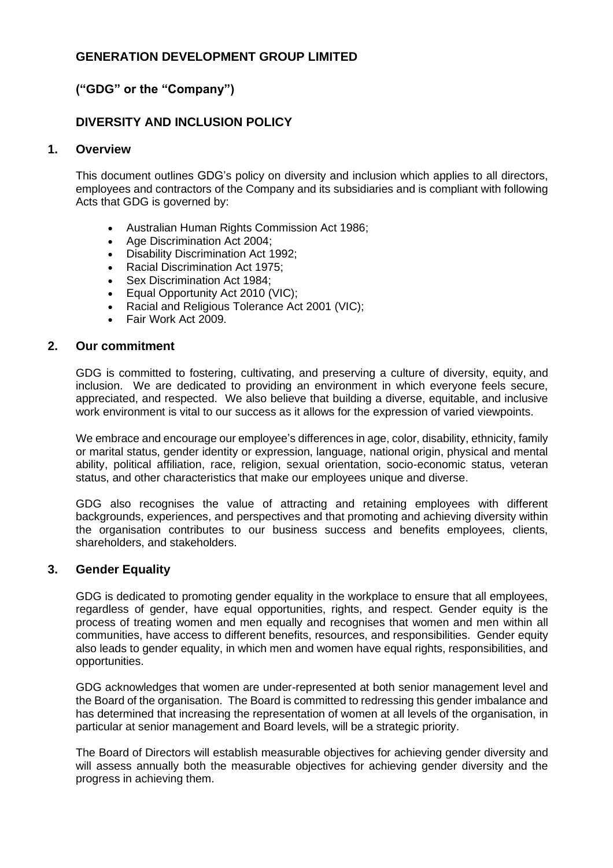## **GENERATION DEVELOPMENT GROUP LIMITED**

# **("GDG" or the "Company")**

# **DIVERSITY AND INCLUSION POLICY**

### **1. Overview**

This document outlines GDG's policy on diversity and inclusion which applies to all directors, employees and contractors of the Company and its subsidiaries and is compliant with following Acts that GDG is governed by:

- Australian Human Rights Commission Act 1986;
- Age Discrimination Act 2004;
- Disability Discrimination Act 1992;
- Racial Discrimination Act 1975;
- Sex Discrimination Act 1984;
- Equal Opportunity Act 2010 (VIC);
- Racial and Religious Tolerance Act 2001 (VIC);
- Fair Work Act 2009.

#### **2. Our commitment**

GDG is committed to fostering, cultivating, and preserving a culture of diversity, equity, and inclusion. We are dedicated to providing an environment in which everyone feels secure, appreciated, and respected. We also believe that building a diverse, equitable, and inclusive work environment is vital to our success as it allows for the expression of varied viewpoints.

We embrace and encourage our employee's differences in age, color, disability, ethnicity, family or marital status, gender identity or expression, language, national origin, physical and mental ability, political affiliation, race, religion, sexual orientation, socio-economic status, veteran status, and other characteristics that make our employees unique and diverse.

GDG also recognises the value of attracting and retaining employees with different backgrounds, experiences, and perspectives and that promoting and achieving diversity within the organisation contributes to our business success and benefits employees, clients, shareholders, and stakeholders.

### **3. Gender Equality**

GDG is dedicated to promoting gender equality in the workplace to ensure that all employees, regardless of gender, have equal opportunities, rights, and respect. Gender equity is the process of treating women and men equally and recognises that women and men within all communities, have access to different benefits, resources, and responsibilities. Gender equity also leads to gender equality, in which men and women have equal rights, responsibilities, and opportunities.

GDG acknowledges that women are under-represented at both senior management level and the Board of the organisation. The Board is committed to redressing this gender imbalance and has determined that increasing the representation of women at all levels of the organisation, in particular at senior management and Board levels, will be a strategic priority.

The Board of Directors will establish measurable objectives for achieving gender diversity and will assess annually both the measurable objectives for achieving gender diversity and the progress in achieving them.